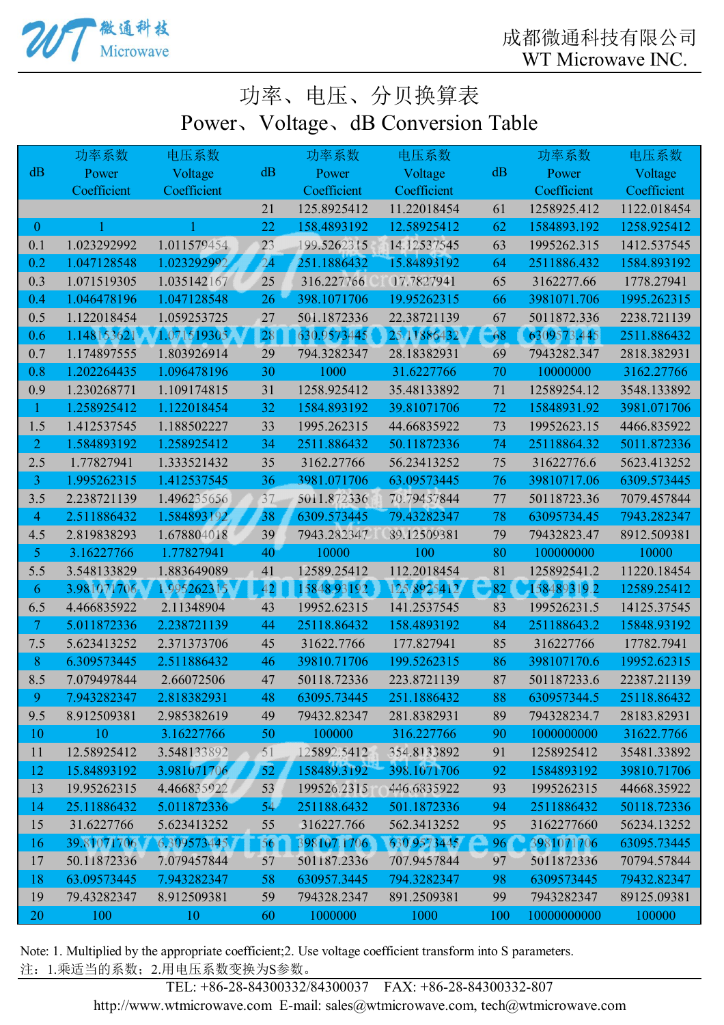成都微通科技有限公司 WT Microwave INC.



## 功率、电压、分贝换算表 Power、Voltage、dB Conversion Table

|                          | 功率系数        | 电压系数        |                 | 功率系数        | 电压系数        |     | 功率系数        | 电压系数        |
|--------------------------|-------------|-------------|-----------------|-------------|-------------|-----|-------------|-------------|
| dB                       | Power       | Voltage     | dB              | Power       | Voltage     | dB  | Power       | Voltage     |
|                          | Coefficient | Coefficient |                 | Coefficient | Coefficient |     | Coefficient | Coefficient |
|                          |             |             | 21              | 125.8925412 | 11.22018454 | 61  | 1258925.412 | 1122.018454 |
| $\mathbf{0}$             |             |             | 22              | 158.4893192 | 12.58925412 | 62  | 1584893.192 | 1258.925412 |
| 0.1                      | 1.023292992 | 1.011579454 | 23              | 199.5262315 | 14.12537545 | 63  | 1995262.315 | 1412.537545 |
| 0.2                      | 1.047128548 | 1.023292992 | 24              | 251.1886432 | 15.84893192 | 64  | 2511886.432 | 1584.893192 |
| 0.3                      | 1.071519305 | 1.035142167 | 25              | 316.227766  | 17.7827941  | 65  | 3162277.66  | 1778.27941  |
| 0.4                      | 1.046478196 | 1.047128548 | 26              | 398.1071706 | 19.95262315 | 66  | 3981071.706 | 1995.262315 |
| 0.5                      | 1.122018454 | 1.059253725 | 27              | 501.1872336 | 22.38721139 | 67  | 5011872.336 | 2238.721139 |
| 0.6                      | 1.148153621 | 1.071519305 | 28              | 630.9573445 | 25.11886432 | 68  | 6309573.445 | 2511.886432 |
| 0.7                      | 1.174897555 | 1.803926914 | 29              | 794.3282347 | 28.18382931 | 69  | 7943282.347 | 2818.382931 |
| 0.8                      | 1.202264435 | 1.096478196 | 30              | 1000        | 31.6227766  | 70  | 10000000    | 3162.27766  |
| 0.9                      | 1.230268771 | 1.109174815 | 31              | 1258.925412 | 35.48133892 | 71  | 12589254.12 | 3548.133892 |
| $\mathbf{1}$             | 1.258925412 | 1.122018454 | 32              | 1584.893192 | 39.81071706 | 72  | 15848931.92 | 3981.071706 |
| 1.5                      | 1.412537545 | 1.188502227 | 33              | 1995.262315 | 44.66835922 | 73  | 19952623.15 | 4466.835922 |
| $\overline{2}$           | 1.584893192 | 1.258925412 | 34              | 2511.886432 | 50.11872336 | 74  | 25118864.32 | 5011.872336 |
| 2.5                      | 1.77827941  | 1.333521432 | 35              | 3162.27766  | 56.23413252 | 75  | 31622776.6  | 5623.413252 |
| $\overline{3}$           | 1.995262315 | 1.412537545 | 36              | 3981.071706 | 63.09573445 | 76  | 39810717.06 | 6309.573445 |
| 3.5                      | 2.238721139 | 1.496235656 | 37              | 5011.872336 | 70.79457844 | 77  | 50118723.36 | 7079.457844 |
| $\overline{4}$           | 2.511886432 | 1.584893192 | 38              | 6309.573445 | 79.43282347 | 78  | 63095734.45 | 7943.282347 |
| 4.5                      | 2.819838293 | 1.678804018 | 39              | 7943.282347 | 89.12509381 | 79  | 79432823.47 | 8912.509381 |
| 5                        | 3.16227766  | 1.77827941  | 40              | 10000       | 100         | 80  | 100000000   | 10000       |
| 5.5                      | 3.548133829 | 1.883649089 | 41              | 12589.25412 | 112.2018454 | 81  | 125892541.2 | 11220.18454 |
| 6                        | 3.981071706 | 1.995262315 | 42              | 15848.93192 | 125.8925412 | 82  | 158489319.2 | 12589.25412 |
| 6.5                      | 4.466835922 | 2.11348904  | 43              | 19952.62315 | 141.2537545 | 83  | 199526231.5 | 14125.37545 |
| $\overline{\mathcal{L}}$ | 5.011872336 | 2.238721139 | 44              | 25118.86432 | 158.4893192 | 84  | 251188643.2 | 15848.93192 |
| 7.5                      | 5.623413252 | 2.371373706 | 45              | 31622.7766  | 177.827941  | 85  | 316227766   | 17782.7941  |
| $8\phantom{1}$           | 6.309573445 | 2.511886432 | 46              | 39810.71706 | 199.5262315 | 86  | 398107170.6 | 19952.62315 |
| 8.5                      | 7.079497844 | 2.66072506  | 47              | 50118.72336 | 223.8721139 | 87  | 501187233.6 | 22387.21139 |
| 9                        | 7.943282347 | 2.818382931 | 48              | 63095.73445 | 251.1886432 | 88  | 630957344.5 | 25118.86432 |
| 9.5                      | 8.912509381 | 2.985382619 | 49              | 79432.82347 | 281.8382931 | 89  | 794328234.7 | 28183.82931 |
| 10                       | 10          | 3.16227766  | 50              | 100000      | 316.227766  | 90  | 1000000000  | 31622.7766  |
| 11                       | 12.58925412 | 3.548133892 | 51              | 125892.5412 | 354.8133892 | 91  | 1258925412  | 35481.33892 |
| 12                       | 15.84893192 | 3.981071706 | 52              | 158489.3192 | 398.1071706 | 92  | 1584893192  | 39810.71706 |
| 13                       | 19.95262315 | 4.466835922 | 53              | 199526.2315 | 446.6835922 | 93  | 1995262315  | 44668.35922 |
| 14                       | 25.11886432 | 5.011872336 | 54 <sub>1</sub> | 251188.6432 | 501.1872336 | 94  | 2511886432  | 50118.72336 |
| 15                       | 31.6227766  | 5.623413252 | 55              | 316227.766  | 562.3413252 | 95  | 3162277660  | 56234.13252 |
| 16                       | 39.81071706 | 6.309573445 | 56              | 398107.1706 | 630.9573445 | 96  | 3981071706  | 63095.73445 |
| 17                       | 50.11872336 | 7.079457844 | 57              | 501187.2336 | 707.9457844 | 97  | 5011872336  | 70794.57844 |
| 18                       | 63.09573445 | 7.943282347 | 58              | 630957.3445 | 794.3282347 | 98  | 6309573445  | 79432.82347 |
| 19                       | 79.43282347 | 8.912509381 | 59              | 794328.2347 | 891.2509381 | 99  | 7943282347  | 89125.09381 |
| 20                       | 100         | 10          | 60              | 1000000     | 1000        | 100 | 10000000000 | 100000      |

注:1.乘适当的系数;2.用电压系数变换为S参数。 Note: 1. Multiplied by the appropriate coefficient;2. Use voltage coefficient transform into S parameters.